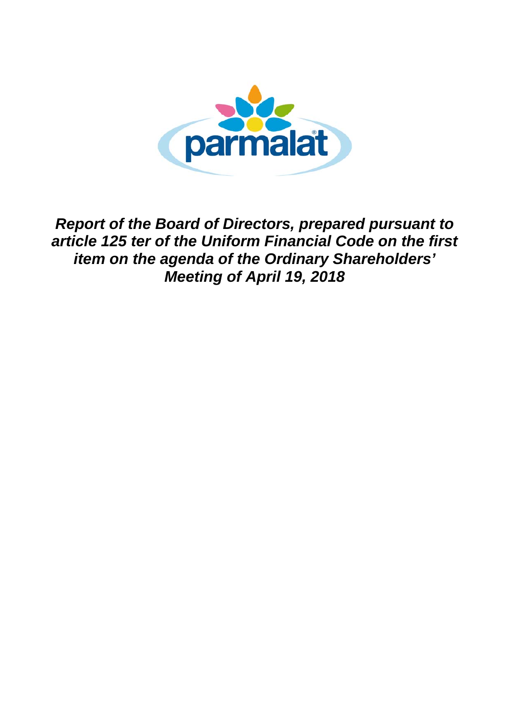

*Report of the Board of Directors, prepared pursuant to article 125 ter of the Uniform Financial Code on the first item on the agenda of the Ordinary Shareholders' Meeting of April 19, 2018*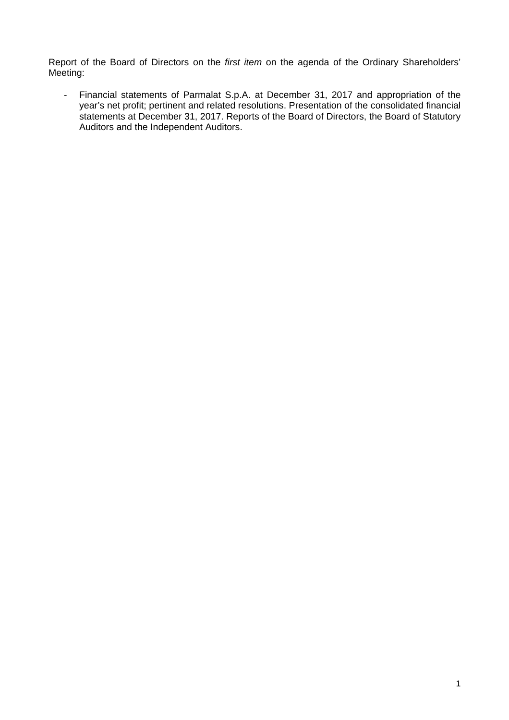Report of the Board of Directors on the *first item* on the agenda of the Ordinary Shareholders' Meeting:

- Financial statements of Parmalat S.p.A. at December 31, 2017 and appropriation of the year's net profit; pertinent and related resolutions. Presentation of the consolidated financial statements at December 31, 2017. Reports of the Board of Directors, the Board of Statutory Auditors and the Independent Auditors.